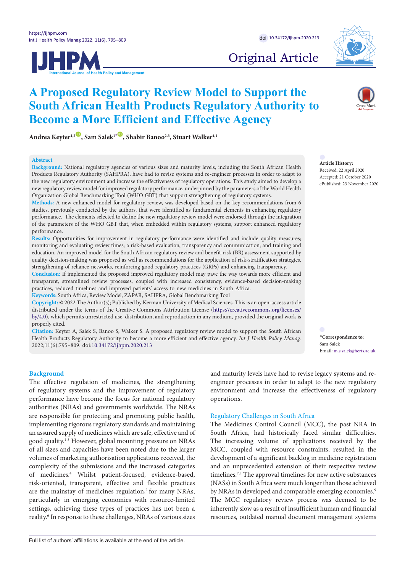



# Original Article

Andrea Keyter<sup>1,2<sup>(ii)</sup>, Sam Salek<sup>1</sub>**<sup>to</sup>**, Shabir Banoo<sup>2,3</sup>, Stuart Walker<sup>4,1</sup></sup></sup>

#### **Abstract**

**Background:** National regulatory agencies of various sizes and maturity levels, including the South African Health Products Regulatory Authority (SAHPRA), have had to revise systems and re-engineer processes in order to adapt to the new regulatory environment and increase the effectiveness of regulatory operations. This study aimed to develop a new regulatory review model for improved regulatory performance, underpinned by the parameters of the World Health Organization Global Benchmarking Tool (WHO GBT) that support strengthening of regulatory systems.

**A Proposed Regulatory Review Model to Support the** 

**Become a More Efficient and Effective Agency**

**South African Health Products Regulatory Authority to** 

**Methods:** A new enhanced model for regulatory review, was developed based on the key recommendations from 6 studies, previously conducted by the authors, that were identified as fundamental elements in enhancing regulatory performance. The elements selected to define the new regulatory review model were endorsed through the integration of the parameters of the WHO GBT that, when embedded within regulatory systems, support enhanced regulatory performance.

**Results:** Opportunities for improvement in regulatory performance were identified and include quality measures; monitoring and evaluating review times; a risk-based evaluation; transparency and communication; and training and education. An improved model for the South African regulatory review and benefit-risk (BR) assessment supported by quality decision-making was proposed as well as recommendations for the application of risk-stratification strategies, strengthening of reliance networks, reinforcing good regulatory practices (GRPs) and enhancing transparency.

**Conclusion:** If implemented the proposed improved regulatory model may pave the way towards more efficient and transparent, streamlined review processes, coupled with increased consistency, evidence-based decision-making practices, reduced timelines and improved patients' access to new medicines in South Africa. **Keywords:** South Africa, Review Model, ZAPAR, SAHPRA, Global Benchmarking Tool

**Copyright:** © 2022 The Author(s); Published by Kerman University of Medical Sciences. This is an open-access article distributed under the terms of the Creative Commons Attribution License [\(https://creativecommons.org/licenses/](https://creativecommons.org/licenses/by/4.0) [by/4.0\)](https://creativecommons.org/licenses/by/4.0), which permits unrestricted use, distribution, and reproduction in any medium, provided the original work is properly cited.

**Citation:** Keyter A, Salek S, Banoo S, Walker S. A proposed regulatory review model to support the South African Health Products Regulatory Authority to become a more efficient and effective agency. *Int J Health Policy Manag.*  2022;11(6):795–809. doi:[10.34172/ijhpm.2020.213](https://doi.org/10.34172/ijhpm.2020.213)

<span id="page-0-0"></span>**\*Correspondence to:** Sam Salek Email: m.s.salek@herts.ac.uk

#### **Background**

The effective regulation of medicines, the strengthening of regulatory systems and the improvement of regulatory performance have become the focus for national regulatory authorities (NRAs) and governments worldwide. The NRAs are responsible for protecting and promoting public health, implementing rigorous regulatory standards and maintaining an assured supply of medicines which are safe, effective and of good quality.1-3 However, global mounting pressure on NRAs of all sizes and capacities have been noted due to the larger volumes of marketing authorisation applications received, the complexity of the submissions and the increased categories of medicines.4 Whilst patient-focused, evidence-based, risk-oriented, transparent, effective and flexible practices are the mainstay of medicines regulation,<sup>5</sup> for many NRAs, particularly in emerging economies with resource-limited settings, achieving these types of practices has not been a reality.<sup>6</sup> In response to these challenges, NRAs of various sizes and maturity levels have had to revise legacy systems and reengineer processes in order to adapt to the new regulatory environment and increase the effectiveness of regulatory operations.

# Regulatory Challenges in South Africa

The Medicines Control Council (MCC), the past NRA in South Africa, had historically faced similar difficulties. The increasing volume of applications received by the MCC, coupled with resource constraints, resulted in the development of a significant backlog in medicine registration and an unprecedented extension of their respective review timelines.<sup>7,8</sup> The approval timelines for new active substances (NASs) in South Africa were much longer than those achieved by NRAs in developed and comparable emerging economies.<sup>9</sup> The MCC regulatory review process was deemed to be inherently slow as a result of insufficient human and financial resources, outdated manual document management systems

#### **Article History:** Received: 22 April 2020

Accepted: 21 October 2020 ePublished: 23 November 2020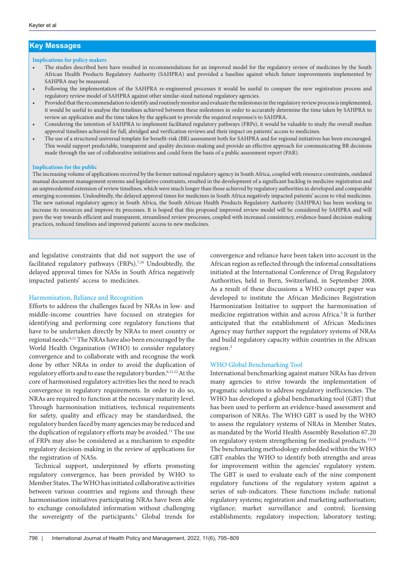# **Key Messages**

#### **Implications for policy makers**

- The studies described here have resulted in recommendations for an improved model for the regulatory review of medicines by the South African Health Products Regulatory Authority (SAHPRA) and provided a baseline against which future improvements implemented by SAHPRA may be measured.
- Following the implementation of the SAHPRA re-engineered processes it would be useful to compare the new registration process and regulatory review model of SAHPRA against other similar-sized national regulatory agencies.
- Provided that the recommendation to identify and routinely monitor and evaluate the milestones in the regulatory review process is implemented, it would be useful to analyse the timelines achieved between these milestones in order to accurately determine the time taken by SAHPRA to review an application and the time taken by the applicant to provide the required response/s to SAHPRA.
- Considering the intention of SAHPRA to implement facilitated regulatory pathways (FRPs), it would be valuable to study the overall median approval timelines achieved for full, abridged and verification reviews and their impact on patients' access to medicines.
- The use of a structured universal template for benefit-risk (BR) assessment both for SAHPRA and for regional initiatives has been encouraged. This would support predictable, transparent and quality decision-making and provide an effective approach for communicating BR decisions made through the use of collaborative initiatives and could form the basis of a public assessment report (PAR).

#### **Implications for the public**

The increasing volume of applications received by the former national regulatory agency in South Africa, coupled with resource constraints, outdated manual document management systems and legislative constraints, resulted in the development of a significant backlog in medicine registration and an unprecedented extension of review timelines, which were much longer than those achieved by regulatory authorities in developed and comparable emerging economies. Undoubtedly, the delayed approval times for medicines in South Africa negatively impacted patients' access to vital medicines. The new national regulatory agency in South Africa, the South African Health Products Regulatory Authority (SAHPRA) has been working to increase its resources and improve its processes. It is hoped that this proposed improved review model will be considered by SAHPRA and will pave the way towards efficient and transparent, streamlined review processes, coupled with increased consistency, evidence-based decision-making practices, reduced timelines and improved patients' access to new medicines.

and legislative constraints that did not support the use of facilitated regulatory pathways (FRPs).<sup>7,10</sup> Undoubtedly, the delayed approval times for NASs in South Africa negatively impacted patients' access to medicines.

#### Harmonisation, Reliance and Recognition

Efforts to address the challenges faced by NRAs in low- and middle-income countries have focused on strategies for identifying and performing core regulatory functions that have to be undertaken directly by NRAs to meet country or regional needs.6,11 The NRAs have also been encouraged by the World Health Organization (WHO) to consider regulatory convergence and to collaborate with and recognise the work done by other NRAs in order to avoid the duplication of regulatory efforts and to ease the regulatory burden.<sup>6,11,12</sup> At the core of harmonised regulatory activities lies the need to reach convergence in regulatory requirements. In order to do so, NRAs are required to function at the necessary maturity level. Through harmonisation initiatives, technical requirements for safety, quality and efficacy may be standardised, the regulatory burden faced by many agencies may be reduced and the duplication of regulatory efforts may be avoided.<sup>11</sup> The use of FRPs may also be considered as a mechanism to expedite regulatory decision-making in the review of applications for the registration of NASs.

Technical support, underpinned by efforts promoting regulatory convergence, has been provided by WHO to Member States. The WHO has initiated collaborative activities between various countries and regions and through these harmonisation initiatives participating NRAs have been able to exchange consolidated information without challenging the sovereignty of the participants.<sup>5</sup> Global trends for convergence and reliance have been taken into account in the African region as reflected through the informal consultations initiated at the International Conference of Drug Regulatory Authorities, held in Bern, Switzerland, in September 2008. As a result of these discussions a WHO concept paper was developed to institute the African Medicines Registration Harmonization Initiative to support the harmonisation of medicine registration within and across Africa.<sup>5</sup> It is further anticipated that the establishment of African Medicines Agency may further support the regulatory systems of NRAs and build regulatory capacity within countries in the African region.2

#### WHO Global Benchmarking Tool

International benchmarking against mature NRAs has driven many agencies to strive towards the implementation of pragmatic solutions to address regulatory inefficiencies. The WHO has developed a global benchmarking tool (GBT) that has been used to perform an evidence-based assessment and comparison of NRAs. The WHO GBT is used by the WHO to assess the regulatory systems of NRAs in Member States, as mandated by the World Health Assembly Resolution 67.20 on regulatory system strengthening for medical products.13,14 The benchmarking methodology embedded within the WHO GBT enables the WHO to identify both strengths and areas for improvement within the agencies' regulatory system. The GBT is used to evaluate each of the nine component regulatory functions of the regulatory system against a series of sub-indicators. These functions include: national regulatory systems; registration and marketing authorisation; vigilance; market surveillance and control; licensing establishments; regulatory inspection; laboratory testing;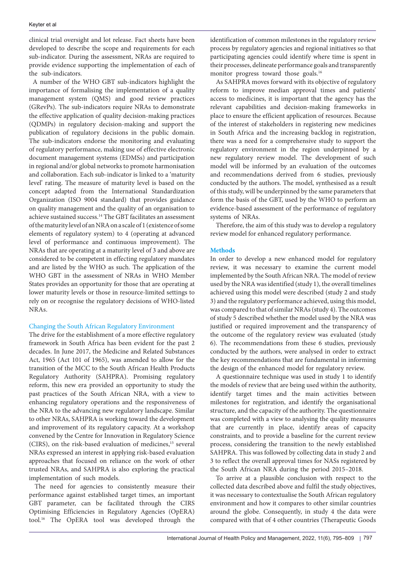clinical trial oversight and lot release. Fact sheets have been developed to describe the scope and requirements for each sub-indicator. During the assessment, NRAs are required to provide evidence supporting the implementation of each of the sub-indicators.

A number of the WHO GBT sub-indicators highlight the importance of formalising the implementation of a quality management system (QMS) and good review practices (GRevPs). The sub-indicators require NRAs to demonstrate the effective application of quality decision-making practices (QDMPs) in regulatory decision-making and support the publication of regulatory decisions in the public domain. The sub-indicators endorse the monitoring and evaluating of regulatory performance, making use of effective electronic document management systems (EDMSs) and participation in regional and/or global networks to promote harmonisation and collaboration. Each sub-indicator is linked to a 'maturity level' rating. The measure of maturity level is based on the concept adapted from the International Standardization Organization (ISO 9004 standard) that provides guidance on quality management and the quality of an organisation to achieve sustained success.14 The GBT facilitates an assessment of the maturity level of an NRA on a scale of 1 (existence of some elements of regulatory system) to 4 (operating at advanced level of performance and continuous improvement). The NRAs that are operating at a maturity level of 3 and above are considered to be competent in effecting regulatory mandates and are listed by the WHO as such. The application of the WHO GBT in the assessment of NRAs in WHO Member States provides an opportunity for those that are operating at lower maturity levels or those in resource-limited settings to rely on or recognise the regulatory decisions of WHO-listed NRAs.

# Changing the South African Regulatory Environment

The drive for the establishment of a more effective regulatory framework in South Africa has been evident for the past 2 decades. In June 2017, the Medicine and Related Substances Act, 1965 (Act 101 of 1965), was amended to allow for the transition of the MCC to the South African Health Products Regulatory Authority (SAHPRA). Promising regulatory reform, this new era provided an opportunity to study the past practices of the South African NRA, with a view to enhancing regulatory operations and the responsiveness of the NRA to the advancing new regulatory landscape. Similar to other NRAs, SAHPRA is working toward the development and improvement of its regulatory capacity. At a workshop convened by the Centre for Innovation in Regulatory Science (CIRS), on the risk-based evaluation of medicines,<sup>15</sup> several NRAs expressed an interest in applying risk-based evaluation approaches that focused on reliance on the work of other trusted NRAs, and SAHPRA is also exploring the practical implementation of such models.

The need for agencies to consistently measure their performance against established target times, an important GBT parameter, can be facilitated through the CIRS Optimising Efficiencies in Regulatory Agencies (OpERA) tool.16 The OpERA tool was developed through the

identification of common milestones in the regulatory review process by regulatory agencies and regional initiatives so that participating agencies could identify where time is spent in their processes, delineate performance goals and transparently monitor progress toward those goals.<sup>16</sup>

As SAHPRA moves forward with its objective of regulatory reform to improve median approval times and patients' access to medicines, it is important that the agency has the relevant capabilities and decision-making frameworks in place to ensure the efficient application of resources. Because of the interest of stakeholders in registering new medicines in South Africa and the increasing backlog in registration, there was a need for a comprehensive study to support the regulatory environment in the region underpinned by a new regulatory review model. The development of such model will be informed by an evaluation of the outcomes and recommendations derived from 6 studies, previously conducted by the authors. The model, synthesised as a result of this study, will be underpinned by the same parameters that form the basis of the GBT, used by the WHO to perform an evidence-based assessment of the performance of regulatory systems of NRAs.

Therefore, the aim of this study was to develop a regulatory review model for enhanced regulatory performance.

#### **Methods**

In order to develop a new enhanced model for regulatory review, it was necessary to examine the current model implemented by the South African NRA. The model of review used by the NRA was identified (study 1), the overall timelines achieved using this model were described (study 2 and study 3) and the regulatory performance achieved, using this model, was compared to that of similar NRAs (study 4). The outcomes of study 5 described whether the model used by the NRA was justified or required improvement and the transparency of the outcome of the regulatory review was evaluated (study 6). The recommendations from these 6 studies, previously conducted by the authors, were analysed in order to extract the key recommendations that are fundamental in informing the design of the enhanced model for regulatory review.

A questionnaire technique was used in study 1 to identify the models of review that are being used within the authority, identify target times and the main activities between milestones for registration, and identify the organisational structure, and the capacity of the authority. The questionnaire was completed with a view to analysing the quality measures that are currently in place, identify areas of capacity constraints, and to provide a baseline for the current review process, considering the transition to the newly established SAHPRA. This was followed by collecting data in study 2 and 3 to reflect the overall approval times for NASs registered by the South African NRA during the period 2015–2018.

To arrive at a plausible conclusion with respect to the collected data described above and fulfil the study objectives, it was necessary to contextualise the South African regulatory environment and how it compares to other similar countries around the globe. Consequently, in study 4 the data were compared with that of 4 other countries (Therapeutic Goods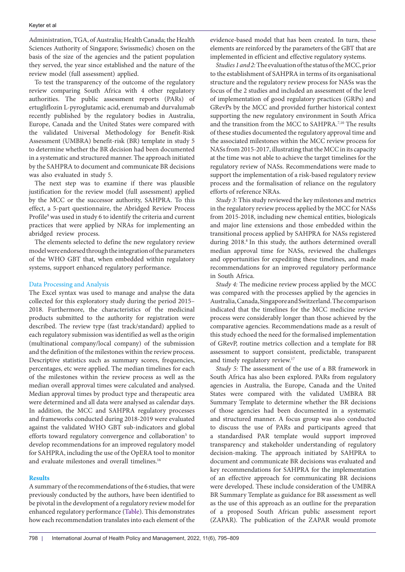Administration, TGA, of Australia; Health Canada; the Health Sciences Authority of Singapore; Swissmedic) chosen on the basis of the size of the agencies and the patient population they served, the year since established and the nature of the review model (full assessment) applied.

To test the transparency of the outcome of the regulatory review comparing South Africa with 4 other regulatory authorities. The public assessment reports (PARs) of ertugliflozin L-pyroglutamic acid, erenumab and durvalumab recently published by the regulatory bodies in Australia, Europe, Canada and the United States were compared with the validated Universal Methodology for Benefit-Risk Assessment (UMBRA) benefit-risk (BR) template in study 5 to determine whether the BR decision had been documented in a systematic and structured manner. The approach initiated by the SAHPRA to document and communicate BR decisions was also evaluated in study 5.

The next step was to examine if there was plausible justification for the review model (full assessment) applied by the MCC or the successor authority, SAHPRA. To this effect, a 5-part questionnaire, the Abridged Review Process Profile<sup>9</sup> was used in study 6 to identify the criteria and current practices that were applied by NRAs for implementing an abridged review process.

The elements selected to define the new regulatory review model were endorsed through the integration of the parameters of the WHO GBT that, when embedded within regulatory systems, support enhanced regulatory performance.

#### Data Processing and Analysis

The Excel syntax was used to manage and analyse the data collected for this exploratory study during the period 2015– 2018. Furthermore, the characteristics of the medicinal products submitted to the authority for registration were described. The review type (fast track/standard) applied to each regulatory submission was identified as well as the origin (multinational company/local company) of the submission and the definition of the milestones within the review process. Descriptive statistics such as summary scores, frequencies, percentages, etc were applied. The median timelines for each of the milestones within the review process as well as the median overall approval times were calculated and analysed. Median approval times by product type and therapeutic area were determined and all data were analysed as calendar days. In addition, the MCC and SAHPRA regulatory processes and frameworks conducted during 2018-2019 were evaluated against the validated WHO GBT sub-indicators and global efforts toward regulatory convergence and collaboration<sup>5</sup> to develop recommendations for an improved regulatory model for SAHPRA, including the use of the OpERA tool to monitor and evaluate milestones and overall timelines.<sup>16</sup>

#### **Results**

A summary of the recommendations of the 6 studies, that were previously conducted by the authors, have been identified to be pivotal in the development of a regulatory review model for enhanced regulatory performance ([Table\)](#page-4-0). This demonstrates how each recommendation translates into each element of the

evidence-based model that has been created. In turn, these elements are reinforced by the parameters of the GBT that are implemented in efficient and effective regulatory systems.

*Studies 1 and 2:* The evaluation of the status of the MCC, prior to the establishment of SAHPRA in terms of its organisational structure and the regulatory review process for NASs was the focus of the 2 studies and included an assessment of the level of implementation of good regulatory practices (GRPs) and GRevPs by the MCC and provided further historical context supporting the new regulatory environment in South Africa and the transition from the MCC to SAHPRA.7,10 The results of these studies documented the regulatory approval time and the associated milestones within the MCC review process for NASs from 2015-2017, illustrating that the MCC in its capacity at the time was not able to achieve the target timelines for the regulatory review of NASs. Recommendations were made to support the implementation of a risk-based regulatory review process and the formalisation of reliance on the regulatory efforts of reference NRAs.

*Study 3:* This study reviewed the key milestones and metrics in the regulatory review process applied by the MCC for NASs from 2015-2018, including new chemical entities, biologicals and major line extensions and those embedded within the transitional process applied by SAHPRA for NASs registered during 2018.<sup>8</sup> In this study, the authors determined overall median approval time for NASs, reviewed the challenges and opportunities for expediting these timelines, and made recommendations for an improved regulatory performance in South Africa.

*Study 4:* The medicine review process applied by the MCC was compared with the processes applied by the agencies in Australia, Canada, Singapore and Switzerland. The comparison indicated that the timelines for the MCC medicine review process were considerably longer than those achieved by the comparative agencies. Recommendations made as a result of this study echoed the need for the formalised implementation of GRevP, routine metrics collection and a template for BR assessment to support consistent, predictable, transparent and timely regulatory review.17

*Study 5:* The assessment of the use of a BR framework in South Africa has also been explored. PARs from regulatory agencies in Australia, the Europe, Canada and the United States were compared with the validated UMBRA BR Summary Template to determine whether the BR decisions of those agencies had been documented in a systematic and structured manner. A focus group was also conducted to discuss the use of PARs and participants agreed that a standardised PAR template would support improved transparency and stakeholder understanding of regulatory decision-making. The approach initiated by SAHPRA to document and communicate BR decisions was evaluated and key recommendations for SAHPRA for the implementation of an effective approach for communicating BR decisions were developed. These include consideration of the UMBRA BR Summary Template as guidance for BR assessment as well as the use of this approach as an outline for the preparation of a proposed South African public assessment report (ZAPAR). The publication of the ZAPAR would promote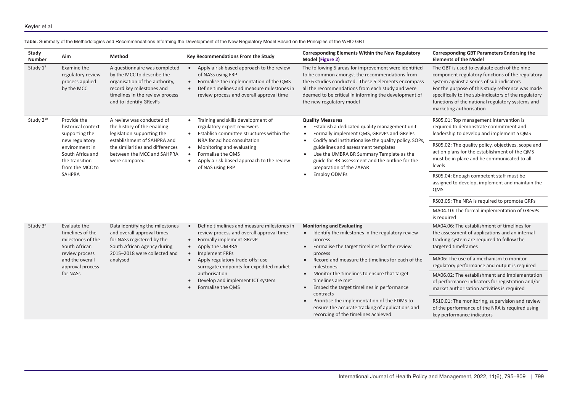<span id="page-4-0"></span>

| Study<br>Number       | Aim                                                                                                                                                               | Method                                                                                                                                                                                                   | Key Recommendations From the Study                                                                                                                                                                                                                                                                                                                                           | <b>Corresponding Elements Within the New Regulatory</b><br>Model (Figure 2)                                                                                                                                                                                                                                                                                                                                                                                                                                                                                  | <b>Corresponding GBT Parameters Endorsing the</b><br><b>Elements of the Model</b>                                                                                                                                                                                                                                                        |
|-----------------------|-------------------------------------------------------------------------------------------------------------------------------------------------------------------|----------------------------------------------------------------------------------------------------------------------------------------------------------------------------------------------------------|------------------------------------------------------------------------------------------------------------------------------------------------------------------------------------------------------------------------------------------------------------------------------------------------------------------------------------------------------------------------------|--------------------------------------------------------------------------------------------------------------------------------------------------------------------------------------------------------------------------------------------------------------------------------------------------------------------------------------------------------------------------------------------------------------------------------------------------------------------------------------------------------------------------------------------------------------|------------------------------------------------------------------------------------------------------------------------------------------------------------------------------------------------------------------------------------------------------------------------------------------------------------------------------------------|
| Study 17              | Examine the<br>regulatory review<br>process applied<br>by the MCC                                                                                                 | A questionnaire was completed<br>by the MCC to describe the<br>organisation of the authority,<br>record key milestones and<br>timelines in the review process<br>and to identify GRevPs                  | Apply a risk-based approach to the review<br>$\bullet$<br>of NASs using FRP<br>Formalise the implementation of the QMS<br>$\bullet$<br>Define timelines and measure milestones in<br>review process and overall approval time                                                                                                                                                | The following 5 areas for improvement were identified<br>to be common amongst the recommendations from<br>the 6 studies conducted. These 5 elements encompass<br>all the recommendations from each study and were<br>deemed to be critical in informing the development of<br>the new regulatory model                                                                                                                                                                                                                                                       | The GBT is used to evaluate each of the nine<br>component regulatory functions of the regulatory<br>system against a series of sub-indicators<br>For the purpose of this study reference was made<br>specifically to the sub-indicators of the regulatory<br>functions of the national regulatory systems and<br>marketing authorisation |
| Study 2 <sup>10</sup> | Provide the<br>historical context<br>supporting the<br>new regulatory<br>environment in<br>South Africa and<br>the transition<br>from the MCC to<br><b>SAHPRA</b> | A review was conducted of<br>the history of the enabling<br>legislation supporting the<br>establishment of SAHPRA and<br>the similarities and differences<br>between the MCC and SAHPRA<br>were compared | Training and skills development of<br>$\bullet$<br>regulatory expert reviewers<br>Establish committee structures within the<br>NRA for ad hoc consultation<br>Monitoring and evaluating<br>$\bullet$<br>Formalise the QMS<br>Apply a risk-based approach to the review<br>$\bullet$<br>of NAS using FRP                                                                      | <b>Quality Measures</b><br>Establish a dedicated quality management unit<br>Formally implement QMS, GRevPs and GRelPs<br>Codify and institutionalise the quality policy, SOPs,<br>$\bullet$<br>guidelines and assessment templates<br>Use the UMBRA BR Summary Template as the<br>$\bullet$<br>guide for BR assessment and the outline for the<br>preparation of the ZAPAR<br><b>Employ ODMPs</b><br>$\bullet$                                                                                                                                               | RS05.01: Top management intervention is<br>required to demonstrate commitment and<br>leadership to develop and implement a QMS                                                                                                                                                                                                           |
|                       |                                                                                                                                                                   |                                                                                                                                                                                                          |                                                                                                                                                                                                                                                                                                                                                                              |                                                                                                                                                                                                                                                                                                                                                                                                                                                                                                                                                              | RS05.02: The quality policy, objectives, scope and<br>action plans for the establishment of the QMS<br>must be in place and be communicated to all<br>levels                                                                                                                                                                             |
|                       |                                                                                                                                                                   |                                                                                                                                                                                                          |                                                                                                                                                                                                                                                                                                                                                                              |                                                                                                                                                                                                                                                                                                                                                                                                                                                                                                                                                              | RS05.04: Enough competent staff must be<br>assigned to develop, implement and maintain the<br><b>QMS</b>                                                                                                                                                                                                                                 |
|                       |                                                                                                                                                                   |                                                                                                                                                                                                          |                                                                                                                                                                                                                                                                                                                                                                              |                                                                                                                                                                                                                                                                                                                                                                                                                                                                                                                                                              | RS03.05: The NRA is required to promote GRPs                                                                                                                                                                                                                                                                                             |
|                       |                                                                                                                                                                   |                                                                                                                                                                                                          |                                                                                                                                                                                                                                                                                                                                                                              |                                                                                                                                                                                                                                                                                                                                                                                                                                                                                                                                                              | MA04.10: The formal implementation of GRevPs<br>is required                                                                                                                                                                                                                                                                              |
| Study 3 <sup>8</sup>  | Evaluate the<br>timelines of the<br>milestones of the<br>South African<br>review process<br>and the overall<br>approval process<br>for NASs                       | Data identifying the milestones<br>and overall approval times<br>for NASs registered by the<br>South African Agency during<br>2015-2018 were collected and<br>analysed                                   | Define timelines and measure milestones in<br>$\bullet$<br>review process and overall approval time<br>Formally implement GRevP<br>$\bullet$<br>Apply the UMBRA<br>$\bullet$<br><b>Implement FRPs</b><br>$\bullet$<br>Apply regulatory trade-offs: use<br>surrogate endpoints for expedited market<br>authorisation<br>Develop and implement ICT system<br>Formalise the QMS | <b>Monitoring and Evaluating</b><br>• Identify the milestones in the regulatory review<br>process<br>Formalise the target timelines for the review<br>$\bullet$<br>process<br>Record and measure the timelines for each of the<br>$\bullet$<br>milestones<br>Monitor the timelines to ensure that target<br>$\bullet$<br>timelines are met<br>Embed the target timelines in performance<br>$\bullet$<br>contracts<br>Prioritise the implementation of the EDMS to<br>ensure the accurate tracking of applications and<br>recording of the timelines achieved | MA04.06: The establishment of timelines for<br>the assessment of applications and an internal<br>tracking system are required to follow the<br>targeted timeframes                                                                                                                                                                       |
|                       |                                                                                                                                                                   |                                                                                                                                                                                                          |                                                                                                                                                                                                                                                                                                                                                                              |                                                                                                                                                                                                                                                                                                                                                                                                                                                                                                                                                              | MA06: The use of a mechanism to monitor<br>regulatory performance and output is required                                                                                                                                                                                                                                                 |
|                       |                                                                                                                                                                   |                                                                                                                                                                                                          |                                                                                                                                                                                                                                                                                                                                                                              |                                                                                                                                                                                                                                                                                                                                                                                                                                                                                                                                                              | MA06.02: The establishment and implementation<br>of performance indicators for registration and/or<br>market authorisation activities is required                                                                                                                                                                                        |
|                       |                                                                                                                                                                   |                                                                                                                                                                                                          |                                                                                                                                                                                                                                                                                                                                                                              |                                                                                                                                                                                                                                                                                                                                                                                                                                                                                                                                                              | RS10.01: The monitoring, supervision and review<br>of the performance of the NRA is required using<br>key performance indicators                                                                                                                                                                                                         |

# **Table.** Summary of the Methodologies and Recommendations Informing the Development of the New Regulatory Model Based on the Principles of the WHO GBT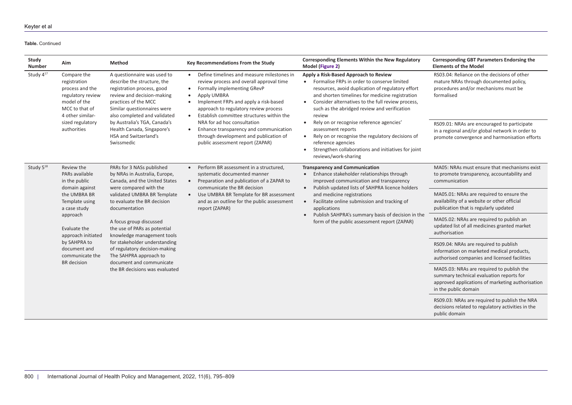#### **Table.** Continued

| Study<br>Number       | Aim                                                                                                                                                                                                                                                                                                                                          | Method                                                                                                                                                                                                                                                                                                             | Key Recommendations From the Study                                                                                                                                                                                                                                                                                                                                                                                                                   | Corresponding Elements Within the New Regulatory<br>Model (Figure 2)                                                                                                                                                                                                                                                                                                                                                                                                                                                                                                                       | <b>Corresponding GBT Parameters Endorsing the</b><br><b>Elements of the Model</b>                                                                                 |
|-----------------------|----------------------------------------------------------------------------------------------------------------------------------------------------------------------------------------------------------------------------------------------------------------------------------------------------------------------------------------------|--------------------------------------------------------------------------------------------------------------------------------------------------------------------------------------------------------------------------------------------------------------------------------------------------------------------|------------------------------------------------------------------------------------------------------------------------------------------------------------------------------------------------------------------------------------------------------------------------------------------------------------------------------------------------------------------------------------------------------------------------------------------------------|--------------------------------------------------------------------------------------------------------------------------------------------------------------------------------------------------------------------------------------------------------------------------------------------------------------------------------------------------------------------------------------------------------------------------------------------------------------------------------------------------------------------------------------------------------------------------------------------|-------------------------------------------------------------------------------------------------------------------------------------------------------------------|
| Study 417             | Compare the<br>registration<br>process and the<br>regulatory review<br>model of the<br>MCC to that of<br>4 other similar-<br>sized regulatory<br>authorities                                                                                                                                                                                 | A questionnaire was used to<br>describe the structure, the<br>registration process, good<br>review and decision-making<br>practices of the MCC<br>Similar questionnaires were<br>also completed and validated<br>by Australia's TGA, Canada's<br>Health Canada, Singapore's<br>HSA and Switzerland's<br>Swissmedic | Define timelines and measure milestones in<br>review process and overall approval time<br>Formally implementing GRevP<br>$\bullet$<br>Apply UMBRA<br>$\bullet$<br>Implement FRPs and apply a risk-based<br>approach to regulatory review process<br>Establish committee structures within the<br>NRA for ad hoc consultation<br>Enhance transparency and communication<br>through development and publication of<br>public assessment report (ZAPAR) | Apply a Risk-Based Approach to Review<br>Formalise FRPs in order to conserve limited<br>resources, avoid duplication of regulatory effort<br>and shorten timelines for medicine registration<br>Consider alternatives to the full review process,<br>$\bullet$<br>such as the abridged review and verification<br>review<br>Rely on or recognise reference agencies'<br>$\bullet$<br>assessment reports<br>Rely on or recognise the regulatory decisions of<br>$\bullet$<br>reference agencies<br>Strengthen collaborations and initiatives for joint<br>$\bullet$<br>reviews/work-sharing | RS03.04: Reliance on the decisions of other<br>mature NRAs through documented policy,<br>procedures and/or mechanisms must be<br>formalised                       |
|                       |                                                                                                                                                                                                                                                                                                                                              |                                                                                                                                                                                                                                                                                                                    |                                                                                                                                                                                                                                                                                                                                                                                                                                                      |                                                                                                                                                                                                                                                                                                                                                                                                                                                                                                                                                                                            | RS09.01: NRAs are encouraged to participate<br>in a regional and/or global network in order to<br>promote convergence and harmonisation efforts                   |
| Study 5 <sup>18</sup> | Review the<br>PARs available<br>in the public<br>were compared with the<br>domain against<br>the UMBRA BR<br>Template using<br>a case study<br>documentation<br>approach<br>A focus group discussed<br>Evaluate the<br>approach initiated<br>by SAHPRA to<br>document and<br>communicate the<br>The SAHPRA approach to<br><b>BR</b> decision | PARs for 3 NASs published<br>by NRAs in Australia, Europe,<br>Canada, and the United States                                                                                                                                                                                                                        | Perform BR assessment in a structured,<br>systematic documented manner<br>Preparation and publication of a ZAPAR to<br>communicate the BR decision<br>Use UMBRA BR Template for BR assessment<br>and as an outline for the public assessment<br>report (ZAPAR)                                                                                                                                                                                       | <b>Transparency and Communication</b><br>Enhance stakeholder relationships through<br>$\bullet$<br>improved communication and transparency<br>Publish updated lists of SAHPRA licence holders<br>$\bullet$<br>and medicine registrations<br>Facilitate online submission and tracking of<br>$\bullet$<br>applications<br>Publish SAHPRA's summary basis of decision in the<br>$\bullet$<br>form of the public assessment report (ZAPAR)                                                                                                                                                    | MA05: NRAs must ensure that mechanisms exist<br>to promote transparency, accountability and<br>communication                                                      |
|                       |                                                                                                                                                                                                                                                                                                                                              | validated UMBRA BR Template<br>to evaluate the BR decision                                                                                                                                                                                                                                                         |                                                                                                                                                                                                                                                                                                                                                                                                                                                      |                                                                                                                                                                                                                                                                                                                                                                                                                                                                                                                                                                                            | MA05.01: NRAs are required to ensure the<br>availability of a website or other official<br>publication that is regularly updated                                  |
|                       |                                                                                                                                                                                                                                                                                                                                              | the use of PARs as potential<br>knowledge management tools<br>for stakeholder understanding<br>of regulatory decision-making<br>document and communicate<br>the BR decisions was evaluated                                                                                                                         |                                                                                                                                                                                                                                                                                                                                                                                                                                                      |                                                                                                                                                                                                                                                                                                                                                                                                                                                                                                                                                                                            | MA05.02: NRAs are required to publish an<br>updated list of all medicines granted market<br>authorisation                                                         |
|                       |                                                                                                                                                                                                                                                                                                                                              |                                                                                                                                                                                                                                                                                                                    |                                                                                                                                                                                                                                                                                                                                                                                                                                                      |                                                                                                                                                                                                                                                                                                                                                                                                                                                                                                                                                                                            | RS09.04: NRAs are required to publish<br>information on marketed medical products,<br>authorised companies and licensed facilities                                |
|                       |                                                                                                                                                                                                                                                                                                                                              |                                                                                                                                                                                                                                                                                                                    |                                                                                                                                                                                                                                                                                                                                                                                                                                                      |                                                                                                                                                                                                                                                                                                                                                                                                                                                                                                                                                                                            | MA05.03: NRAs are required to publish the<br>summary technical evaluation reports for<br>approved applications of marketing authorisation<br>in the public domain |
|                       |                                                                                                                                                                                                                                                                                                                                              |                                                                                                                                                                                                                                                                                                                    |                                                                                                                                                                                                                                                                                                                                                                                                                                                      |                                                                                                                                                                                                                                                                                                                                                                                                                                                                                                                                                                                            | RS09.03: NRAs are required to publish the NRA<br>decisions related to regulatory activities in the<br>public domain                                               |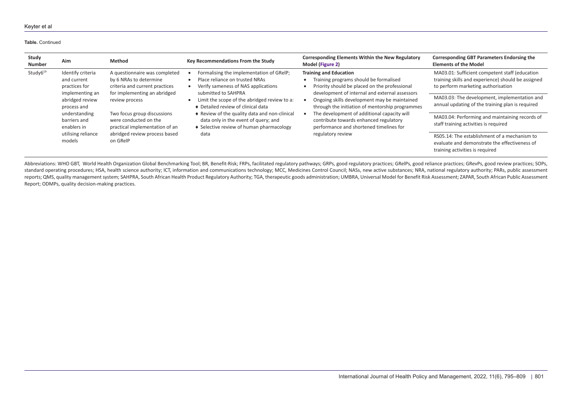#### **Table.** Continued

| Study<br><b>Number</b> | Aim                                                                  | <b>Method</b>                                                                                                                                         | Key Recommendations From the Study                                                                                                                                                                                                                                                                                                                                                                                                | <b>Corresponding Elements Within the New Regulatory</b><br>Model (Figure 2)                                                                                                                                                         | <b>Corresponding GBT Parameters Endorsing the</b><br><b>Elements of the Model</b>                                                          |
|------------------------|----------------------------------------------------------------------|-------------------------------------------------------------------------------------------------------------------------------------------------------|-----------------------------------------------------------------------------------------------------------------------------------------------------------------------------------------------------------------------------------------------------------------------------------------------------------------------------------------------------------------------------------------------------------------------------------|-------------------------------------------------------------------------------------------------------------------------------------------------------------------------------------------------------------------------------------|--------------------------------------------------------------------------------------------------------------------------------------------|
| Study6 <sup>19</sup>   | Identify criteria<br>and current<br>practices for<br>implementing an | A questionnaire was completed<br>by 6 NRAs to determine<br>criteria and current practices<br>for implementing an abridged                             | Formalising the implementation of GRelP;<br><b>Training and Education</b><br>Place reliance on trusted NRAs<br>Verify sameness of NAS applications<br>submitted to SAHPRA<br>Limit the scope of the abridged review to a:<br>♦ Detailed review of clinical data<br>♦ Review of the quality data and non-clinical<br>data only in the event of query; and<br>• Selective review of human pharmacology<br>regulatory review<br>data | Training programs should be formalised<br>Priority should be placed on the professional<br>development of internal and external assessors                                                                                           | MA03.01: Sufficient competent staff (education<br>training skills and experience) should be assigned<br>to perform marketing authorisation |
|                        | abridged review<br>process and                                       | review process<br>Two focus group discussions<br>were conducted on the<br>practical implementation of an<br>abridged review process based<br>on GRelP |                                                                                                                                                                                                                                                                                                                                                                                                                                   | Ongoing skills development may be maintained<br>through the initiation of mentorship programmes<br>The development of additional capacity will<br>contribute towards enhanced regulatory<br>performance and shortened timelines for | MA03.03: The development, implementation and<br>annual updating of the training plan is required                                           |
|                        | understanding<br>barriers and<br>enablers in                         |                                                                                                                                                       |                                                                                                                                                                                                                                                                                                                                                                                                                                   |                                                                                                                                                                                                                                     | MA03.04: Performing and maintaining records of<br>staff training activities is required                                                    |
|                        | utilising reliance<br>models                                         |                                                                                                                                                       |                                                                                                                                                                                                                                                                                                                                                                                                                                   |                                                                                                                                                                                                                                     | RS05.14: The establishment of a mechanism to<br>evaluate and demonstrate the effectiveness of<br>training activities is required           |

Abbreviations: WHO GBT, World Health Organization Global Benchmarking Tool; BR, Benefit-Risk; FRPs, facilitated regulatory pathways; GRPs, good regulatory practices; GRelPs, good reliance practices; GRevPs, good review pra standard operating procedures; HSA, health science authority; ICT, information and communications technology; MCC, Medicines Control Council; NASs, new active substances; NRA, national regulatory authority; PARs, public as reports; QMS, quality management system; SAHPRA, South African Health Product Regulatory Authority; TGA, therapeutic goods administration; UMBRA, Universal Model for Benefit Risk Assessment; ZAPAR, South African Public Ass Report; ODMPs, quality decision-making practices.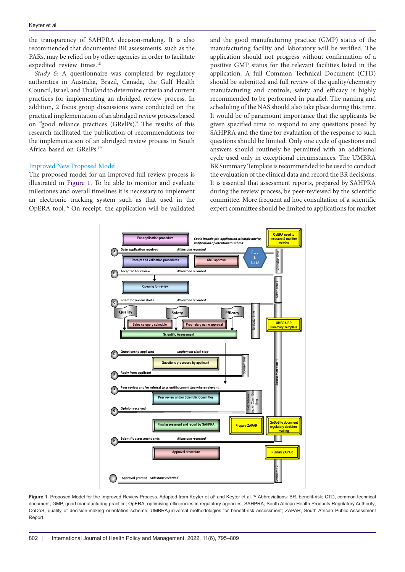the transparency of SAHPRA decision-making. It is also recommended that documented BR assessments, such as the PARs, may be relied on by other agencies in order to facilitate expedited review times.<sup>18</sup>

*Study 6:* A questionnaire was completed by regulatory authorities in Australia, Brazil, Canada, the Gulf Health Council, Israel, and Thailand to determine criteria and current practices for implementing an abridged review process. In addition, 2 focus group discussions were conducted on the practical implementation of an abridged review process based on "good reliance practices (GRelPs)." The results of this research facilitated the publication of recommendations for the implementation of an abridged review process in South Africa based on GRelPs.19

# Improved New Proposed Model

The proposed model for an improved full review process is illustrated in [Figure 1.](#page-7-0) To be able to monitor and evaluate milestones and overall timelines it is necessary to implement an electronic tracking system such as that used in the OpERA tool.16 On receipt, the application will be validated

and the good manufacturing practice (GMP) status of the manufacturing facility and laboratory will be verified. The application should not progress without confirmation of a positive GMP status for the relevant facilities listed in the application. A full Common Technical Document (CTD) should be submitted and full review of the quality/chemistry manufacturing and controls, safety and efficacy is highly recommended to be performed in parallel. The naming and scheduling of the NAS should also take place during this time. It would be of paramount importance that the applicants be given specified time to respond to any questions posed by SAHPRA and the time for evaluation of the response to such questions should be limited. Only one cycle of questions and answers should routinely be permitted with an additional cycle used only in exceptional circumstances. The UMBRA BR Summary Template is recommended to be used to conduct the evaluation of the clinical data and record the BR decisions. It is essential that assessment reports, prepared by SAHPRA during the review process, be peer-reviewed by the scientific committee. More frequent ad hoc consultation of a scientific expert committee should be limited to applications for market

<span id="page-7-0"></span>

Figure 1. Proposed Model for the Improved Review Process. Adapted from Keyter et al<sup>7</sup> and Keyter et al. <sup>17</sup> Abbreviations: BR, benefit-risk; CTD, common technical document; GMP, good manufacturing practice; OpERA, optimising efficiencies in regulatory agencies; SAHPRA, South African Health Products Regulatory Authority; QoDoS, quality of decision-making orientation scheme; UMBRA,universal methodologies for benefit-risk assessment; ZAPAR, South African Public Assessment Report.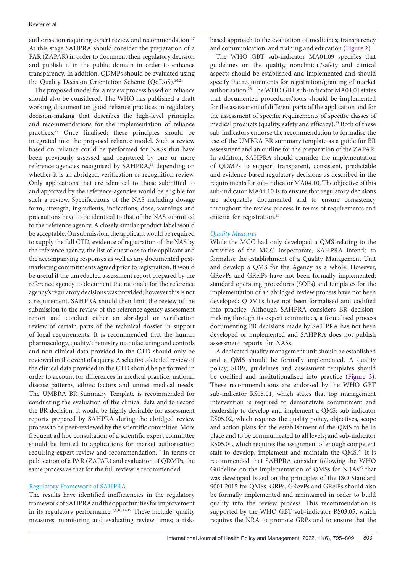authorisation requiring expert review and recommendation.<sup>17</sup> At this stage SAHPRA should consider the preparation of a PAR (ZAPAR) in order to document their regulatory decision and publish it in the public domain in order to enhance transparency. In addition, QDMPs should be evaluated using the Quality Decision Orientation Scheme (QoDoS).<sup>20,21</sup>

The proposed model for a review process based on reliance should also be considered. The WHO has published a draft working document on good reliance practices in regulatory decision-making that describes the high-level principles and recommendations for the implementation of reliance practices.22 Once finalised; these principles should be integrated into the proposed reliance model. Such a review based on reliance could be performed for NASs that have been previously assessed and registered by one or more reference agencies recognised by SAHPRA,<sup>19</sup> depending on whether it is an abridged, verification or recognition review. Only applications that are identical to those submitted to and approved by the reference agencies would be eligible for such a review. Specifications of the NAS including dosage form, strength, ingredients, indications, dose, warnings and precautions have to be identical to that of the NAS submitted to the reference agency. A closely similar product label would be acceptable. On submission, the applicant would be required to supply the full CTD, evidence of registration of the NAS by the reference agency, the list of questions to the applicant and the accompanying responses as well as any documented postmarketing commitments agreed prior to registration. It would be useful if the unredacted assessment report prepared by the reference agency to document the rationale for the reference agency's regulatory decisions was provided; however this is not a requirement. SAHPRA should then limit the review of the submission to the review of the reference agency assessment report and conduct either an abridged or verification review of certain parts of the technical dossier in support of local requirements. It is recommended that the human pharmacology, quality/chemistry manufacturing and controls and non-clinical data provided in the CTD should only be reviewed in the event of a query. A selective, detailed review of the clinical data provided in the CTD should be performed in order to account for differences in medical practice, national disease patterns, ethnic factors and unmet medical needs. The UMBRA BR Summary Template is recommended for conducting the evaluation of the clinical data and to record the BR decision. It would be highly desirable for assessment reports prepared by SAHPRA during the abridged review process to be peer-reviewed by the scientific committee. More frequent ad hoc consultation of a scientific expert committee should be limited to applications for market authorisation requiring expert review and recommendation.17 In terms of publication of a PAR (ZAPAR) and evaluation of QDMPs, the same process as that for the full review is recommended.

# Regulatory Framework of SAHPRA

The results have identified inefficiencies in the regulatory framework of SAHPRA and the opportunities for improvement in its regulatory performance.7,8,10,17-19 These include: quality measures; monitoring and evaluating review times; a riskbased approach to the evaluation of medicines; transparency and communication; and training and education [\(Figure 2](#page-9-1)).

The WHO GBT sub-indicator MA01.09 specifies that guidelines on the quality, nonclinical/safety and clinical aspects should be established and implemented and should specify the requirements for registration/granting of market authorisation.23 The WHO GBT sub-indicator MA04.01 states that documented procedures/tools should be implemented for the assessment of different parts of the application and for the assessment of specific requirements of specific classes of medical products (quality, safety and efficacy).<sup>23</sup> Both of these sub-indicators endorse the recommendation to formalise the use of the UMBRA BR summary template as a guide for BR assessment and an outline for the preparation of the ZAPAR. In addition, SAHPRA should consider the implementation of QDMPs to support transparent, consistent, predictable and evidence-based regulatory decisions as described in the requirements for sub-indicator MA04.10. The objective of this sub-indicator MA04.10 is to ensure that regulatory decisions are adequately documented and to ensure consistency throughout the review process in terms of requirements and criteria for registration.<sup>23</sup>

#### *Quality Measures*

While the MCC had only developed a QMS relating to the activities of the MCC Inspectorate, SAHPRA intends to formalise the establishment of a Quality Management Unit and develop a QMS for the Agency as a whole. However, GRevPs and GRelPs have not been formally implemented; standard operating procedures (SOPs) and templates for the implementation of an abridged review process have not been developed; QDMPs have not been formalised and codified into practice. Although SAHPRA considers BR decisionmaking through its expert committees, a formalised process documenting BR decisions made by SAHPRA has not been developed or implemented and SAHPRA does not publish assessment reports for NASs.

A dedicated quality management unit should be established and a QMS should be formally implemented. A quality policy, SOPs, guidelines and assessment templates should be codified and institutionalised into practice ([Figure 3](#page-9-2)). These recommendations are endorsed by the WHO GBT sub-indicator RS05.01, which states that top management intervention is required to demonstrate commitment and leadership to develop and implement a QMS; sub-indicator RS05.02, which requires the quality policy, objectives, scope and action plans for the establishment of the QMS to be in place and to be communicated to all levels; and sub-indicator RS05.04, which requires the assignment of enough competent staff to develop, implement and maintain the QMS.<sup>24</sup> It is recommended that SAHPRA consider following the WHO Guideline on the implementation of QMSs for NRAs<sup>25</sup> that was developed based on the principles of the ISO Standard 9001:2015 for QMSs. GRPs, GRevPs and GRelPs should also be formally implemented and maintained in order to build quality into the review process. This recommendation is supported by the WHO GBT sub-indicator RS03.05, which requires the NRA to promote GRPs and to ensure that the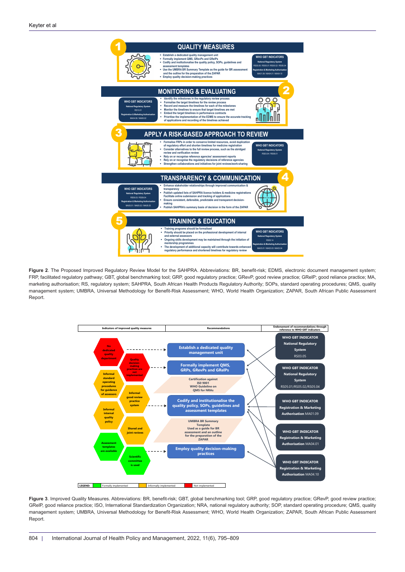<span id="page-9-1"></span><span id="page-9-0"></span>

**Figure 2**. The Proposed Improved Regulatory Review Model for the SAHPRA. Abbreviations: BR, benefit-risk; EDMS, electronic document management system; FRP, facilitated regulatory pathway; GBT, global benchmarking tool; GRP, good regulatory practice; GRevP, good review practice; GRelP; good reliance practice; MA, marketing authorisation; RS, regulatory system; SAHPRA, South African Health Products Regulatory Authority; SOPs, standard operating procedures; QMS, quality management system; UMBRA, Universal Methodology for Benefit-Risk Assessment; WHO, World Health Organization; ZAPAR, South African Public Assessment Report.

<span id="page-9-2"></span>

**Figure 3**. Improved Quality Measures. Abbreviations: BR, benefit-risk; GBT, global benchmarking tool; GRP, good regulatory practice; GRevP, good review practice; GRelP, good reliance practice; ISO, International Standardization Organization; NRA, national regulatory authority; SOP, standard operating procedure; QMS, quality management system; UMBRA, Universal Methodology for Benefit-Risk Assessment; WHO, World Health Organization; ZAPAR, South African Public Assessment Report.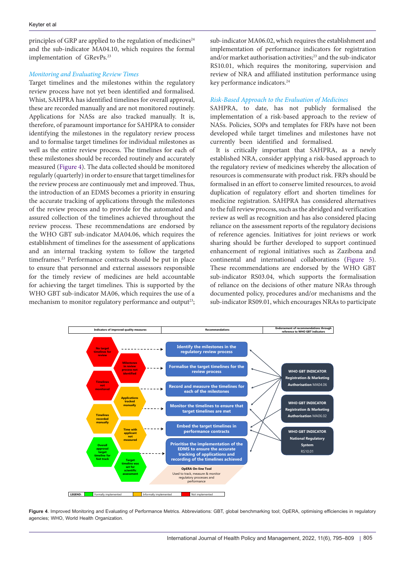principles of GRP are applied to the regulation of medicines<sup>24</sup> and the sub-indicator MA04.10, which requires the formal implementation of GRevPs.<sup>23</sup>

#### *Monitoring and Evaluating Review Times*

Target timelines and the milestones within the regulatory review process have not yet been identified and formalised. Whist, SAHPRA has identified timelines for overall approval, these are recorded manually and are not monitored routinely. Applications for NASs are also tracked manually. It is, therefore, of paramount importance for SAHPRA to consider identifying the milestones in the regulatory review process and to formalise target timelines for individual milestones as well as the entire review process. The timelines for each of these milestones should be recorded routinely and accurately measured [\(Figure 4\)](#page-10-0). The data collected should be monitored regularly (quarterly) in order to ensure that target timelines for the review process are continuously met and improved. Thus, the introduction of an EDMS becomes a priority in ensuring the accurate tracking of applications through the milestones of the review process and to provide for the automated and assured collection of the timelines achieved throughout the review process. These recommendations are endorsed by the WHO GBT sub-indicator MA04.06, which requires the establishment of timelines for the assessment of applications and an internal tracking system to follow the targeted timeframes.23 Performance contracts should be put in place to ensure that personnel and external assessors responsible for the timely review of medicines are held accountable for achieving the target timelines. This is supported by the WHO GBT sub-indicator MA06, which requires the use of a mechanism to monitor regulatory performance and output<sup>23</sup>; sub-indicator MA06.02, which requires the establishment and implementation of performance indicators for registration and/or market authorisation activities;<sup>23</sup> and the sub-indicator RS10.01, which requires the monitoring, supervision and review of NRA and affiliated institution performance using key performance indicators.<sup>24</sup>

# *Risk-Based Approach to the Evaluation of Medicines*

SAHPRA, to date, has not publicly formalised the implementation of a risk-based approach to the review of NASs. Policies, SOPs and templates for FRPs have not been developed while target timelines and milestones have not currently been identified and formalised.

It is critically important that SAHPRA, as a newly established NRA, consider applying a risk-based approach to the regulatory review of medicines whereby the allocation of resources is commensurate with product risk. FRPs should be formalised in an effort to conserve limited resources, to avoid duplication of regulatory effort and shorten timelines for medicine registration. SAHPRA has considered alternatives to the full review process, such as the abridged and verification review as well as recognition and has also considered placing reliance on the assessment reports of the regulatory decisions of reference agencies. Initiatives for joint reviews or work sharing should be further developed to support continued enhancement of regional initiatives such as Zazibona and continental and international collaborations [\(Figure 5](#page-11-0)). These recommendations are endorsed by the WHO GBT sub-indicator RS03.04, which supports the formalisation of reliance on the decisions of other mature NRAs through documented policy, procedures and/or mechanisms and the sub-indicator RS09.01, which encourages NRAs to participate

<span id="page-10-0"></span>

**Figure 4.** Improved Monitoring and Evaluating of Performance Metrics. Abbreviations: GBT, global benchmarking tool: OpERA, optimising efficiencies in regulatory agencies; WHO, World Health Organization.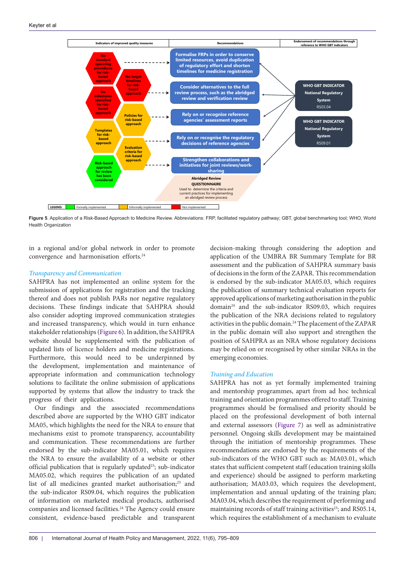<span id="page-11-0"></span>

**Figure 5**. Application of a Risk-Based Approach to Medicine Review. Abbreviations: FRP, facilitated regulatory pathway; GBT, global benchmarking tool; WHO, World Health Organization

in a regional and/or global network in order to promote convergence and harmonisation efforts.<sup>24</sup>

#### *Transparency and Communication*

SAHPRA has not implemented an online system for the submission of applications for registration and the tracking thereof and does not publish PARs nor negative regulatory decisions. These findings indicate that SAHPRA should also consider adopting improved communication strategies and increased transparency, which would in turn enhance stakeholder relationships ([Figure 6\)](#page-12-0). In addition, the SAHPRA website should be supplemented with the publication of updated lists of licence holders and medicine registrations. Furthermore, this would need to be underpinned by the development, implementation and maintenance of appropriate information and communication technology solutions to facilitate the online submission of applications supported by systems that allow the industry to track the progress of their applications.

Our findings and the associated recommendations described above are supported by the WHO GBT indicator MA05, which highlights the need for the NRA to ensure that mechanisms exist to promote transparency, accountability and communication. These recommendations are further endorsed by the sub-indicator MA05.01, which requires the NRA to ensure the availability of a website or other official publication that is regularly updated<sup>23</sup>; sub-indicator MA05.02, which requires the publication of an updated list of all medicines granted market authorisation;<sup>23</sup> and the sub-indicator RS09.04, which requires the publication of information on marketed medical products, authorised companies and licensed facilities.<sup>24</sup> The Agency could ensure consistent, evidence-based predictable and transparent decision-making through considering the adoption and application of the UMBRA BR Summary Template for BR assessment and the publication of SAHPRA summary basis of decisions in the form of the ZAPAR. This recommendation is endorsed by the sub-indicator MA05.03, which requires the publication of summary technical evaluation reports for approved applications of marketing authorisation in the public domain24 and the sub-indicator RS09.03, which requires the publication of the NRA decisions related to regulatory activities in the public domain.<sup>24</sup> The placement of the ZAPAR in the public domain will also support and strengthen the position of SAHPRA as an NRA whose regulatory decisions may be relied on or recognised by other similar NRAs in the emerging economies.

#### *Training and Education*

SAHPRA has not as yet formally implemented training and mentorship programmes, apart from ad hoc technical training and orientation programmes offered to staff. Training programmes should be formalised and priority should be placed on the professional development of both internal and external assessors ([Figure 7\)](#page-12-1) as well as administrative personnel. Ongoing skills development may be maintained through the initiation of mentorship programmes. These recommendations are endorsed by the requirements of the sub-indicators of the WHO GBT such as: MA03.01, which states that sufficient competent staff (education training skills and experience) should be assigned to perform marketing authorisation; MA03.03, which requires the development, implementation and annual updating of the training plan; MA03.04, which describes the requirement of performing and maintaining records of staff training activities<sup>23</sup>; and RS05.14, which requires the establishment of a mechanism to evaluate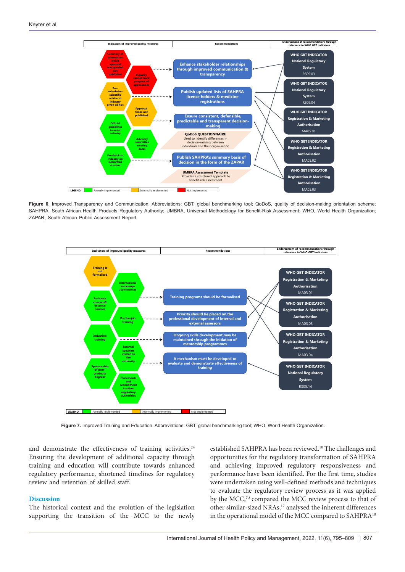<span id="page-12-0"></span>

Figure 6. Improved Transparency and Communication. Abbreviations: GBT, global benchmarking tool; QoDoS, quality of decision-making orientation scheme; SAHPRA, South African Health Products Regulatory Authority; UMBRA, Universal Methodology for Benefit-Risk Assessment; WHO, World Health Organization; ZAPAR, South African Public Assessment Report.

<span id="page-12-1"></span>

**Figure 7.** Improved Training and Education. Abbreviations: GBT, global benchmarking tool; WHO, World Health Organization.

and demonstrate the effectiveness of training activities.<sup>24</sup> Ensuring the development of additional capacity through training and education will contribute towards enhanced regulatory performance, shortened timelines for regulatory review and retention of skilled staff.

#### **Discussion**

The historical context and the evolution of the legislation supporting the transition of the MCC to the newly established SAHPRA has been reviewed.<sup>10</sup> The challenges and opportunities for the regulatory transformation of SAHPRA and achieving improved regulatory responsiveness and performance have been identified. For the first time, studies were undertaken using well-defined methods and techniques to evaluate the regulatory review process as it was applied by the MCC,<sup>7,8</sup> compared the MCC review process to that of other similar-sized NRAs,<sup>17</sup> analysed the inherent differences in the operational model of the MCC compared to SAHPRA<sup>10</sup>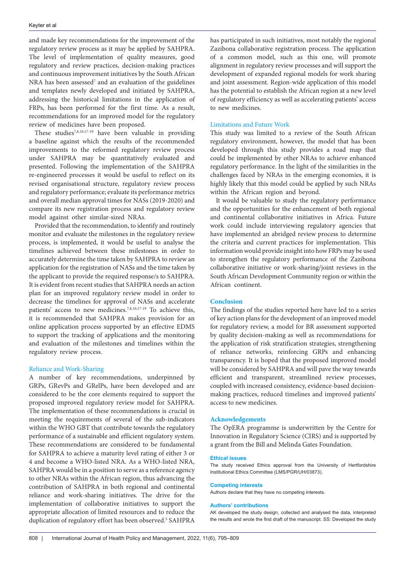and made key recommendations for the improvement of the regulatory review process as it may be applied by SAHPRA. The level of implementation of quality measures, good regulatory and review practices, decision-making practices and continuous improvement initiatives by the South African NRA has been assessed<sup>7</sup> and an evaluation of the guidelines and templates newly developed and initiated by SAHPRA, addressing the historical limitations in the application of FRPs, has been performed for the first time. As a result, recommendations for an improved model for the regulatory review of medicines have been proposed.

These studies7,8,10,17-19 have been valuable in providing a baseline against which the results of the recommended improvements to the reformed regulatory review process under SAHPRA may be quantitatively evaluated and presented. Following the implementation of the SAHPRA re-engineered processes it would be useful to reflect on its revised organisational structure, regulatory review process and regulatory performance; evaluate its performance metrics and overall median approval times for NASs (2019-2020) and compare its new registration process and regulatory review model against other similar-sized NRAs.

Provided that the recommendation, to identify and routinely monitor and evaluate the milestones in the regulatory review process, is implemented, it would be useful to analyse the timelines achieved between these milestones in order to accurately determine the time taken by SAHPRA to review an application for the registration of NASs and the time taken by the applicant to provide the required response/s to SAHPRA. It is evident from recent studies that SAHPRA needs an action plan for an improved regulatory review model in order to decrease the timelines for approval of NASs and accelerate patients' access to new medicines.7,8,10,17-19 To achieve this, it is recommended that SAHPRA makes provision for an online application process supported by an effective EDMS to support the tracking of applications and the monitoring and evaluation of the milestones and timelines within the regulatory review process.

#### Reliance and Work-Sharing

A number of key recommendations, underpinned by GRPs, GRevPs and GRelPs, have been developed and are considered to be the core elements required to support the proposed improved regulatory review model for SAHPRA. The implementation of these recommendations is crucial in meeting the requirements of several of the sub-indicators within the WHO GBT that contribute towards the regulatory performance of a sustainable and efficient regulatory system. These recommendations are considered to be fundamental for SAHPRA to achieve a maturity level rating of either 3 or 4 and become a WHO-listed NRA. As a WHO-listed NRA, SAHPRA would be in a position to serve as a reference agency to other NRAs within the African region, thus advancing the contribution of SAHPRA in both regional and continental reliance and work-sharing initiatives. The drive for the implementation of collaborative initiatives to support the appropriate allocation of limited resources and to reduce the duplication of regulatory effort has been observed.<sup>5</sup> SAHPRA has participated in such initiatives, most notably the regional Zazibona collaborative registration process. The application of a common model, such as this one, will promote alignment in regulatory review processes and will support the development of expanded regional models for work sharing and joint assessment. Region-wide application of this model has the potential to establish the African region at a new level of regulatory efficiency as well as accelerating patients' access to new medicines.

### Limitations and Future Work

This study was limited to a review of the South African regulatory environment, however, the model that has been developed through this study provides a road map that could be implemented by other NRAs to achieve enhanced regulatory performance. In the light of the similarities in the challenges faced by NRAs in the emerging economies, it is highly likely that this model could be applied by such NRAs within the African region and beyond.

It would be valuable to study the regulatory performance and the opportunities for the enhancement of both regional and continental collaborative initiatives in Africa. Future work could include interviewing regulatory agencies that have implemented an abridged review process to determine the criteria and current practices for implementation. This information would provide insight into how FRPs may be used to strengthen the regulatory performance of the Zazibona collaborative initiative or work-sharing/joint reviews in the South African Development Community region or within the African continent.

# **Conclusion**

The findings of the studies reported here have led to a series of key action plans for the development of an improved model for regulatory review, a model for BR assessment supported by quality decision-making as well as recommendations for the application of risk stratification strategies, strengthening of reliance networks, reinforcing GRPs and enhancing transparency. It is hoped that the proposed improved model will be considered by SAHPRA and will pave the way towards efficient and transparent, streamlined review processes, coupled with increased consistency, evidence-based decisionmaking practices, reduced timelines and improved patients' access to new medicines.

#### **Acknowledgements**

The OpERA programme is underwritten by the Centre for Innovation in Regulatory Science (CIRS) and is supported by a grant from the Bill and Melinda Gates Foundation.

#### **Ethical issues**

The study received Ethics approval from the University of Hertfordshire Institutional Ethics Committee (LMS/PGR/UH/03873).

#### **Competing interests**

Authors declare that they have no competing interests.

#### **Authors' contributions**

AK developed the study design, collected and analysed the data, interpreted the results and wrote the first draft of the manuscript. SS: Developed the study